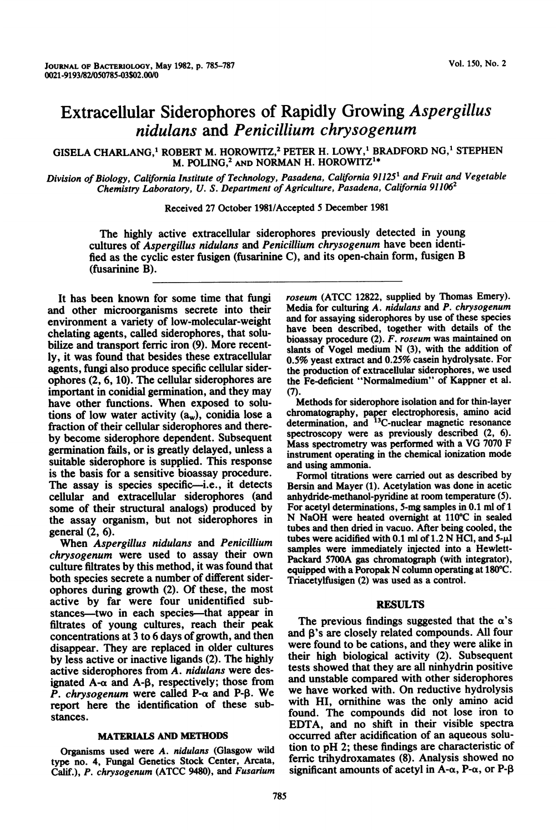# Extracellular Siderophores of Rapidly Growing Aspergillus nidulans and Penicillium chrysogenum

GISELA CHARLANG,<sup>1</sup> ROBERT M. HOROWITZ,<sup>2</sup> PETER H. LOWY,<sup>1</sup> BRADFORD NG,<sup>1</sup> STEPHEN M. POLING,2 AND NORMAN H. HOROWITZ'\*

Division of Biology, California Institute of Technology, Pasadena, California 91125<sup>1</sup> and Fruit and Vegetable Chemistry Laboratory, U. S. Department of Agriculture, Pasadena, California 91106<sup>2</sup>

Received 27 October 1981/Accepted <sup>5</sup> December 1981

The highly active extracellular siderophores previously detected in young cultures of Aspergillus nidulans and Penicillium chrysogenum have been identified as the cyclic ester fusigen (fusarinine C), and its open-chain form, fusigen B (fusarinine B).

It has been known for some time that fungi and other microorganisms secrete into their environment a variety of low-molecular-weight chelating agents, called siderophores, that solubilize and transport ferric iron (9). More recently, it was found that besides these extracellular agents, fungi also produce specific cellular siderophores (2, 6, 10). The cellular siderophores are important in conidial germination, and they may have other functions. When exposed to solutions of low water activity  $(a_w)$ , conidia lose a fraction of their cellular siderophores and thereby become siderophore dependent. Subsequent germination fails, or is greatly delayed, unless a suitable siderophore is supplied. This response is the basis for a sensitive bioassay procedure. The assay is species specific—i.e., it detects cellular and extracellular siderophores (and some of their structural analogs) produced by the assay organism, but not siderophores in general (2, 6).

When Aspergillus nidulans and Penicillium chrysogenum were used to assay their own culture filtrates by this method, it was found that both species secrete a number of different siderophores during growth (2). Of these, the most active by far were four unidentified substances—two in each species—that appear in filtrates of young cultures, reach their peak concentrations at 3 to 6 days of growth, and then disappear. They are replaced in older cultures by less active or inactive ligands (2). The highly active siderophores from A. nidulans were designated  $A-\alpha$  and  $A-\beta$ , respectively; those from P. chrysogenum were called P- $\alpha$  and P- $\beta$ . We report here the identification of these substances.

### MATERIALS AND METHODS

Organisms used were A. nidulans (Glasgow wild type no. 4, Fungal Genetics Stock Center, Arcata, Calif.), P. chrysogenum (ATCC 9480), and Fusarium roseum (ATCC 12822, supplied by Thomas Emery). Media for culturing A. nidulans and P. chrysogenum and for assaying siderophores by use of these species have been described, together with details of the bioassay procedure (2). F. roseum was maintained on slants of Vogel medium N (3), with the addition of 0.5% yeast extract and 0.25% casein hydrolysate. For the production of extracellular siderophores, we used the Fe-deficient "Normalmedium" of Kappner et al.  $(7)$ .

Methods for siderophore isolation and for thin-layer chromatography, paper electrophoresis, amino acid determination, and <sup>13</sup>C-nuclear magnetic resonance spectroscopy were as previously described (2, 6). Mass spectrometry was performed with <sup>a</sup> VG <sup>7070</sup> F instrument operating in the chemical ionization mode and using ammonia.

Formol titrations were carried out as described by Bersin and Mayer (1). Acetylation was done in acetic anhydride-methanol-pyridine at room temperature (5). For acetyl determinations, 5-mg samples in 0.1 ml of <sup>1</sup> N NaOH were heated overnight at 110°C in sealed tubes and then dried in vacuo. After being cooled, the tubes were acidified with 0.1 ml of  $1.2$  N HCl, and  $5-\mu$ . samples were immediately injected into a Hewlett-Packard 5700A gas chromatograph (with integrator), equipped with <sup>a</sup> Poropak N column operating at 180°C. Triacetylfusigen (2) was used as a control.

#### RESULTS

The previous findings suggested that the  $\alpha$ 's and  $\beta$ 's are closely related compounds. All four were found to be cations, and they were alike in their high biological activity (2). Subsequent tests showed that they are all ninhydrin positive and unstable compared with other siderophores we have worked with. On reductive hydrolysis with HI, ornithine was the only amino acid found. The compounds did not lose iron to EDTA, and no shift in their visible spectra occurred after acidification of an aqueous solution to pH 2; these findings are characteristic of ferric trihydroxamates (8). Analysis showed no significant amounts of acetyl in A- $\alpha$ , P- $\alpha$ , or P- $\beta$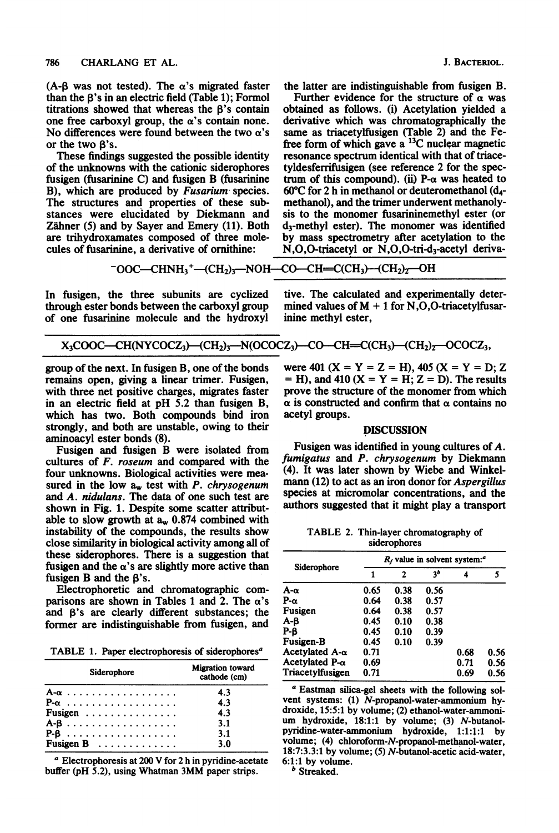(A-B was not tested). The  $\alpha$ 's migrated faster than the  $\beta$ 's in an electric field (Table 1); Formol titrations showed that whereas the <sup>P</sup>'s contain one free carboxyl group, the  $\alpha$ 's contain none. No differences were found between the two  $\alpha$ 's or the two  $B's$ .

These findings suggested the possible identity of the unknowns with the cationic siderophores fusigen (fusarinine C) and fusigen B (fusarinine B), which are produced by Fusarium species. The structures and properties of these substances were elucidated by Diekmann and Zähner (5) and by Sayer and Emery (11). Both are trihydroxamates composed of three molecules of fusarinine, a derivative of ornithine:

J. BACTERIOL.

the latter are indistinguishable from fusigen B. Further evidence for the structure of  $\alpha$  was obtained as follows. (i) Acetylation yielded a derivative which was chromatographically the same as triacetylfusigen (Table 2) and the Fefree form of which gave a <sup>13</sup>C nuclear magnetic resonance spectrum identical with that of triacetyldesferrifusigen (see reference 2 for the spectrum of this compound). (ii) P- $\alpha$  was heated to 60°C for 2 h in methanol or deuteromethanol (d4 methanol), and the trimer underwent methanolysis to the monomer fusarininemethyl ester (or d3-methyl ester). The monomer was identified by mass spectrometry after acetylation to the  $N, O, O$ -triacetyl or  $N, O, O$ -tri-d<sub>3</sub>-acetyl deriva-

$$
-OOC-CHNH3+-(CH2)3—NOH—CO—CH=CCCH3)-(CH2)2—OH
$$

In fusigen, the three subunits are cyclized through ester bonds between the carboxyl group of one fusarinine molecule and the hydroxyl tive. The calculated and experimentally determined values of  $M + 1$  for N,O,O-triacetylfusarinine methyl ester,

$$
X_3COOC-CH(NYCOCZ_3) - (CH_2)_3 - N(OCOCZ_3) - CO-CH=C(CH_3) - (CH_2)_2 - OCOCZ_3,
$$

group of the next. In fusigen B, one of the bonds remains open, giving a linear trimer. Fusigen, with three net positive charges, migrates faster in an electric field at pH 5.2 than fusigen B, which has two. Both compounds bind iron strongly, and both are unstable, owing to their aminoacyl ester bonds (8).

Fusigen and fusigen B were isolated from cultures of F. roseum and compared with the four unknowns. Biological activities were measured in the low  $a_w$  test with P. chrysogenum and A. nidulans. The data of one such test are shown in Fig. 1. Despite some scatter attributable to slow growth at  $a_w$  0.874 combined with instability of the compounds, the results show close similarity in biological activity among all of these siderophores. There is a suggestion that fusigen and the  $\alpha$ 's are slightly more active than fusigen B and the  $\beta$ 's.

Electrophoretic and chromatographic comparisons are shown in Tables 1 and 2. The  $\alpha$ 's and  $\beta$ 's are clearly different substances; the former are indistinguishable from fusigen, and

TABLE 1. Paper electrophoresis of siderophores<sup>a</sup>

| Siderophore | <b>Migration</b> toward<br>cathode (cm) |
|-------------|-----------------------------------------|
|             | 4.3                                     |
| $P-\alpha$  | 4.3                                     |
| Fusigen     | 4.3                                     |
|             | 3.1                                     |
|             | 3.1                                     |
| Fusigen $B$ | 3.0                                     |

<sup>a</sup> Electrophoresis at <sup>200</sup> V for <sup>2</sup> h in pyridine-acetate buffer (pH 5.2), using Whatman 3MM paper strips.

were 401 ( $X = Y = Z = H$ ), 405 ( $X = Y = D$ ; Z  $=$  H), and 410 (X = Y = H; Z = D). The results prove the structure of the monomer from which  $\alpha$  is constructed and confirm that  $\alpha$  contains no acetyl groups.

## DISCUSSION

Fusigen was identified in young cultures of A. fumigatus and P. chrysogenum by Diekmann (4). It was later shown by Wiebe and Winkelmann (12) to act as an iron donor for *Aspergillus* species at micromolar concentrations, and the authors suggested that it might play a transport

TABLE 2. Thin-layer chromatography of siderophores

| $R_f$ value in solvent system: <sup><i>a</i></sup> |      |      |      |      |  |
|----------------------------------------------------|------|------|------|------|--|
| 1                                                  | 2    | zb   | 4    | 5    |  |
| 0.65                                               | 0.38 | 0.56 |      |      |  |
| 0.64                                               | 0.38 | 0.57 |      |      |  |
| 0.64                                               | 0.38 | 0.57 |      |      |  |
| 0.45                                               | 0.10 | 0.38 |      |      |  |
| 0.45                                               | 0.10 | 0.39 |      |      |  |
| 0.45                                               | 0.10 | 0.39 |      |      |  |
| 0.71                                               |      |      | 0.68 | 0.56 |  |
| 0.69                                               |      |      |      | 0.56 |  |
| 0.71                                               |      |      | 0.69 | 0.56 |  |
|                                                    |      |      |      | 0.71 |  |

<sup>a</sup> Eastman silica-gel sheets with the following solvent systems: (1) N-propanol-water-ammonium hydroxide, 15.5:1 by volume; (2) ethanol-water-ammonium hydroxide, 18:1:1 by volume; (3) N-butanolpyridine-water-ammonium hydroxide, 1:1:1:1 by volume; (4) chloroform-N-propanol-methanol-water, 18:7:3.3:1 by volume; (5) N-butanol-acetic acid-water, 6:1:1 by volume.

*b* Streaked.